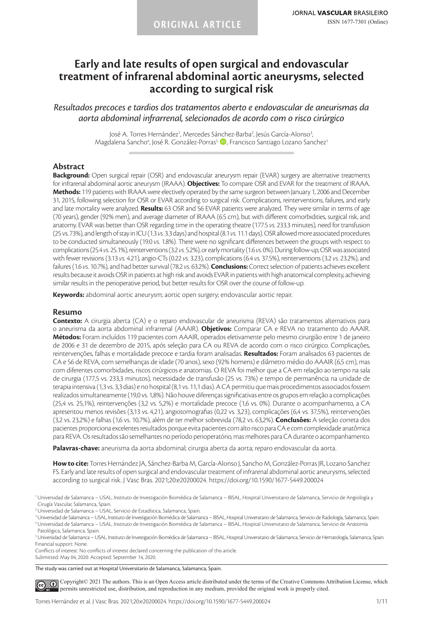# **Early and late results of open surgical and endovascular treatment of infrarenal abdominal aortic aneurysms, selected according to surgical risk**

*Resultados precoces e tardios dos tratamentos aberto e endovascular de aneurismas da aorta abdominal infrarrenal, selecionados de acordo com o risco cirúrgico*

> José A. Torres Hernández<sup>1</sup>, Mercedes Sánchez-Barba<sup>2</sup>, Jesús García-Alonso<sup>3</sup>, Magdalena Sancho<sup>4</sup>, José R. González-Porras<sup>5</sup> (D, Francisco Santiago Lozano Sanchez<sup>1</sup>

## **Abstract**

**Background:** Open surgical repair (OSR) and endovascular aneurysm repair (EVAR) surgery are alternative treatments for infrarenal abdominal aortic aneurysm (IRAAA). **Objectives:** To compare OSR and EVAR for the treatment of IRAAA. **Methods:** 119 patients with IRAAA were electively operated by the same surgeon between January 1, 2006 and December 31, 2015, following selection for OSR or EVAR according to surgical risk. Complications, reinterventions, failures, and early and late mortality were analyzed. **Results:** 63 OSR and 56 EVAR patients were analyzed. They were similar in terms of age (70 years), gender (92% men), and average diameter of IRAAA (6.5 cm), but with different comorbidities, surgical risk, and anatomy. EVAR was better than OSR regarding time in the operating theatre (177.5 *vs.* 233.3 minutes), need for transfusion (25 vs. 73%), and length of stay in ICU (1.3 *vs.* 3.3 days) and hospital (8.1 *vs.* 11.1 days). OSR allowed more associated procedures to be conducted simultaneously (19.0 *vs.* 1.8%). There were no significant differences between the groups with respect to complications (25.4 *vs.* 25.1%), reinterventions (3.2 *vs.* 5.2%), or early mortality (1.6 *vs.* 0%). During follow-up, OSR was associated with fewer revisions (3.13 *vs.* 4.21), angio-CTs (0.22 *vs.* 3.23), complications (6.4 *vs.* 37.5%), reinterventions (3.2 *vs.* 23.2%), and failures (1.6 *vs.* 10.7%), and had better survival (78.2 *vs.* 63.2%). **Conclusions:** Correct selection of patients achieves excellent results because it avoids OSR in patients at high risk and avoids EVAR in patients with high anatomical complexity, achieving similar results in the perioperative period, but better results for OSR over the course of follow-up.

**Keywords:** abdominal aortic aneurysm; aortic open surgery; endovascular aortic repair.

#### **Resumo**

**Contexto:** A cirurgia aberta (CA) e o reparo endovascular de aneurisma (REVA) são tratamentos alternativos para o aneurisma da aorta abdominal infrarrenal (AAAIR). **Objetivos:** Comparar CA e REVA no tratamento do AAAIR. **Métodos:** Foram incluídos 119 pacientes com AAAIR, operados eletivamente pelo mesmo cirurgião entre 1 de janeiro de 2006 e 31 de dezembro de 2015, após seleção para CA ou REVA de acordo com o risco cirúrgico. Complicações, reintervenções, falhas e mortalidade precoce e tardia foram analisadas. **Resultados:** Foram analisados 63 pacientes de CA e 56 de REVA, com semelhanças de idade (70 anos), sexo (92% homens) e diâmetro médio do AAAIR (6,5 cm), mas com diferentes comorbidades, riscos cirúrgicos e anatomias. O REVA foi melhor que a CA em relação ao tempo na sala de cirurgia (177,5 vs. 233,3 minutos), necessidade de transfusão (25 vs. 73%) e tempo de permanência na unidade de terapia intensiva (1,3 vs. 3,3 dias) e no hospital (8,1 vs. 11,1 dias). A CA permitiu que mais procedimentos associados fossem realizados simultaneamente (19,0 vs. 1,8%). Não houve diferenças significativas entre os grupos em relação a complicações (25,4 vs. 25,1%), reintervenções (3,2 vs. 5,2%) e mortalidade precoce (1,6 vs. 0%). Durante o acompanhamento, a CA apresentou menos revisões (3,13 vs. 4,21), angiotomografias (0,22 vs. 3,23), complicações (6,4 vs. 37,5%), reintervenções (3,2 vs. 23,2%) e falhas (1,6 vs. 10,7%), além de ter melhor sobrevida (78,2 vs. 63,2%). **Conclusões:** A seleção correta dos pacientes proporciona excelentes resultados porque evita pacientes com alto risco para CA e com complexidade anatômica para REVA. Os resultados são semelhantes no período perioperatório, mas melhores para CA durante o acompanhamento.

**Palavras-chave:** aneurisma da aorta abdominal; cirurgia aberta da aorta; reparo endovascular da aorta.

**How to cite:** Torres Hernández JA, Sánchez-Barba M, García-Alonso J, Sancho M, González-Porras JR, Lozano Sanchez FS. Early and late results of open surgical and endovascular treatment of infrarenal abdominal aortic aneurysms, selected according to surgical risk. J Vasc Bras. 2021;20:e20200024. https://doi.org/10.1590/1677-5449.200024

1Universidad de Salamanca – USAL, Instituto de Investigación Biomédica de Salamanca – IBSAL, Hospital Universitario de Salamanca, Servicio de Angiología y Cirugía Vascular, Salamanca, Spain.

2Universidad de Salamanca – USAL, Servicio de Estadística, Salamanca, Spain.

3Universidad de Salamanca – USAL, Instituto de Investigación Biomédica de Salamanca – IBSAL, Hospital Universitario de Salamanca, Servicio de Radiología, Salamanca, Spain. 4Universidad de Salamanca – USAL, Instituto de Investigación Biomédica de Salamanca – IBSAL, Hospital Universitario de Salamanca, Servicio de Anatomía

Patológica, Salamanca, Spain.

5Universidad de Salamanca – USAL, Instituto de Investigación Biomédica de Salamanca – IBSAL, Hospital Universitario de Salamanca, Servicio de Hematología, Salamanca, Spain. Financial support: None.

Conflicts of interest: No conflicts of interest declared concerning the publication of this article. Submitted: May 04, 2020. Accepted: September 14, 2020.

The study was carried out at Hospital Universitario de Salamanca, Salamanca, Spain.

[C](https://creativecommons.org/licenses/by/4.0/)opyright© 2021 The authors. This is an Open Access article distributed under the terms of the Creative Commons Attribution License, which  $\odot$ permits unrestricted use, distribution, and reproduction in any medium, provided the original work is properly cited.

Torres Hernández et al. J Vasc Bras. 2021;20:e20200024. https://doi.org/10.1590/1677-5449.200024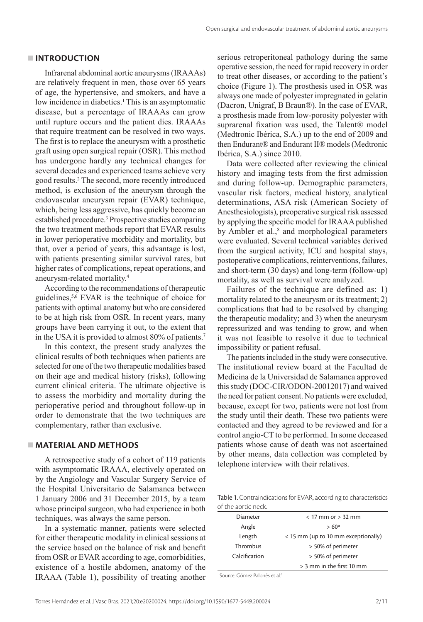## **INTRODUCTION**

Infrarenal abdominal aortic aneurysms (IRAAAs) are relatively frequent in men, those over 65 years of age, the hypertensive, and smokers, and have a low incidence in diabetics.<sup>1</sup> This is an asymptomatic disease, but a percentage of IRAAAs can grow until rupture occurs and the patient dies. IRAAAs that require treatment can be resolved in two ways. The first is to replace the aneurysm with a prosthetic graft using open surgical repair (OSR). This method has undergone hardly any technical changes for several decades and experienced teams achieve very good results.2 The second, more recently introduced method, is exclusion of the aneurysm through the endovascular aneurysm repair (EVAR) technique, which, being less aggressive, has quickly become an established procedure.<sup>3</sup> Prospective studies comparing the two treatment methods report that EVAR results in lower perioperative morbidity and mortality, but that, over a period of years, this advantage is lost, with patients presenting similar survival rates, but higher rates of complications, repeat operations, and aneurysm-related mortality.4

According to the recommendations of therapeutic guidelines,5,6 EVAR is the technique of choice for patients with optimal anatomy but who are considered to be at high risk from OSR. In recent years, many groups have been carrying it out, to the extent that in the USA it is provided to almost 80% of patients.<sup>7</sup>

In this context, the present study analyzes the clinical results of both techniques when patients are selected for one of the two therapeutic modalities based on their age and medical history (risks), following current clinical criteria. The ultimate objective is to assess the morbidity and mortality during the perioperative period and throughout follow-up in order to demonstrate that the two techniques are complementary, rather than exclusive.

## **MATERIAL AND METHODS**

A retrospective study of a cohort of 119 patients with asymptomatic IRAAA, electively operated on by the Angiology and Vascular Surgery Service of the Hospital Universitario de Salamanca between 1 January 2006 and 31 December 2015, by a team whose principal surgeon, who had experience in both techniques, was always the same person.

In a systematic manner, patients were selected for either therapeutic modality in clinical sessions at the service based on the balance of risk and benefit from OSR or EVAR according to age, comorbidities, existence of a hostile abdomen, anatomy of the IRAAA (Table 1), possibility of treating another serious retroperitoneal pathology during the same operative session, the need for rapid recovery in order to treat other diseases, or according to the patient's choice (Figure 1). The prosthesis used in OSR was always one made of polyester impregnated in gelatin (Dacron, Unigraf, B Braun®). In the case of EVAR, a prosthesis made from low-porosity polyester with suprarenal fixation was used, the Talent® model (Medtronic Ibérica, S.A.) up to the end of 2009 and then Endurant® and Endurant II® models (Medtronic Ibérica, S.A.) since 2010.

Data were collected after reviewing the clinical history and imaging tests from the first admission and during follow-up. Demographic parameters, vascular risk factors, medical history, analytical determinations, ASA risk (American Society of Anesthesiologists), preoperative surgical risk assessed by applying the specific model for IRAAA published by Ambler et al.,<sup>8</sup> and morphological parameters were evaluated. Several technical variables derived from the surgical activity, ICU and hospital stays, postoperative complications, reinterventions, failures, and short-term (30 days) and long-term (follow-up) mortality, as well as survival were analyzed.

Failures of the technique are defined as: 1) mortality related to the aneurysm or its treatment; 2) complications that had to be resolved by changing the therapeutic modality; and 3) when the aneurysm repressurized and was tending to grow, and when it was not feasible to resolve it due to technical impossibility or patient refusal.

The patients included in the study were consecutive. The institutional review board at the Facultad de Medicina de la Universidad de Salamanca approved this study (DOC-CIR/ODON-20012017) and waived the need for patient consent. No patients were excluded, because, except for two, patients were not lost from the study until their death. These two patients were contacted and they agreed to be reviewed and for a control angio-CT to be performed. In some deceased patients whose cause of death was not ascertained by other means, data collection was completed by telephone interview with their relatives.

Table 1. Contraindications for EVAR, according to characteristics of the aortic neck.

| Diameter      | $<$ 17 mm or $>$ 32 mm              |
|---------------|-------------------------------------|
| Angle         | $> 60^{\circ}$                      |
| Length        | < 15 mm (up to 10 mm exceptionally) |
| Thrombus      | > 50% of perimeter                  |
| Calcification | > 50% of perimeter                  |
|               | > 3 mm in the first 10 mm           |

Source: Gómez Palonés et al.6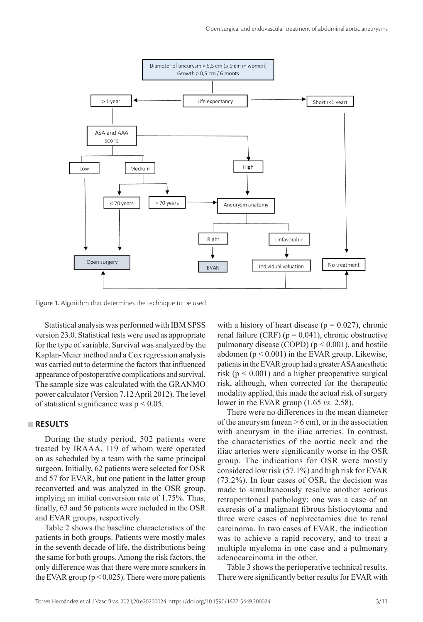

Figure 1. Algorithm that determines the technique to be used.

Statistical analysis was performed with IBM SPSS version 23.0. Statistical tests were used as appropriate for the type of variable. Survival was analyzed by the Kaplan-Meier method and a Cox regression analysis was carried out to determine the factors that influenced appearance of postoperative complications and survival. The sample size was calculated with the GRANMO power calculator (Version 7.12 April 2012). The level of statistical significance was  $p < 0.05$ .

### **RESULTS**

During the study period, 502 patients were treated by IRAAA, 119 of whom were operated on as scheduled by a team with the same principal surgeon. Initially, 62 patients were selected for OSR and 57 for EVAR, but one patient in the latter group reconverted and was analyzed in the OSR group, implying an initial conversion rate of 1.75%. Thus, finally, 63 and 56 patients were included in the OSR and EVAR groups, respectively.

Table 2 shows the baseline characteristics of the patients in both groups. Patients were mostly males in the seventh decade of life, the distributions being the same for both groups. Among the risk factors, the only difference was that there were more smokers in the EVAR group ( $p < 0.025$ ). There were more patients with a history of heart disease ( $p = 0.027$ ), chronic renal failure (CRF) ( $p = 0.041$ ), chronic obstructive pulmonary disease (COPD)  $(p < 0.001)$ , and hostile abdomen ( $p < 0.001$ ) in the EVAR group. Likewise, patients in the EVAR group had a greater ASA anesthetic risk ( $p < 0.001$ ) and a higher preoperative surgical risk, although, when corrected for the therapeutic modality applied, this made the actual risk of surgery lower in the EVAR group (1.65 *vs.* 2.58).

There were no differences in the mean diameter of the aneurysm (mean  $> 6$  cm), or in the association with aneurysm in the iliac arteries. In contrast, the characteristics of the aortic neck and the iliac arteries were significantly worse in the OSR group. The indications for OSR were mostly considered low risk (57.1%) and high risk for EVAR (73.2%). In four cases of OSR, the decision was made to simultaneously resolve another serious retroperitoneal pathology: one was a case of an exeresis of a malignant fibrous histiocytoma and three were cases of nephrectomies due to renal carcinoma. In two cases of EVAR, the indication was to achieve a rapid recovery, and to treat a multiple myeloma in one case and a pulmonary adenocarcinoma in the other.

Table 3 shows the perioperative technical results. There were significantly better results for EVAR with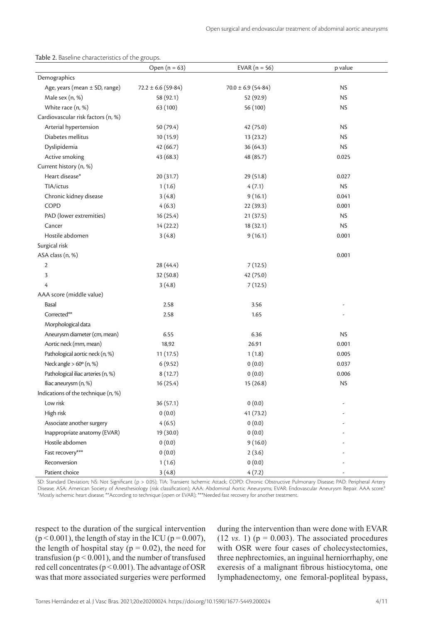Table 2. Baseline characteristics of the groups.

|                                     | Open $(n = 63)$        | EVAR $(n = 56)$        | p value   |
|-------------------------------------|------------------------|------------------------|-----------|
| Demographics                        |                        |                        |           |
| Age, years (mean $\pm$ SD, range)   | $72.2 \pm 6.6$ (59-84) | $70.0 \pm 6.9$ (54-84) | <b>NS</b> |
| Male sex (n, %)                     | 58 (92.1)              | 52 (92.9)              | <b>NS</b> |
| White race (n, %)                   | 63 (100)               | 56 (100)               | <b>NS</b> |
| Cardiovascular risk factors (n, %)  |                        |                        |           |
| Arterial hypertension               | 50 (79.4)              | 42 (75.0)              | <b>NS</b> |
| Diabetes mellitus                   | 10(15.9)               | 13 (23.2)              | <b>NS</b> |
| Dyslipidemia                        | 42 (66.7)              | 36 (64.3)              | <b>NS</b> |
| Active smoking                      | 43 (68.3)              | 48 (85.7)              | 0.025     |
| Current history (n, %)              |                        |                        |           |
| Heart disease*                      | 20 (31.7)              | 29(51.8)               | 0.027     |
| TIA/ictus                           | 1(1.6)                 | 4(7.1)                 | <b>NS</b> |
| Chronic kidney disease              | 3(4.8)                 | 9(16.1)                | 0.041     |
| <b>COPD</b>                         | 4(6.3)                 | 22(39.3)               | 0.001     |
| PAD (lower extremities)             | 16(25.4)               | 21(37.5)               | <b>NS</b> |
| Cancer                              | 14(22.2)               | 18(32.1)               | <b>NS</b> |
| Hostile abdomen                     | 3(4.8)                 | 9(16.1)                | 0.001     |
| Surgical risk                       |                        |                        |           |
| ASA class (n, %)                    |                        |                        | 0.001     |
| $\mathbf{2}$                        | 28 (44.4)              | 7(12.5)                |           |
| 3                                   | 32 (50.8)              | 42 (75.0)              |           |
| 4                                   | 3(4.8)                 | 7(12.5)                |           |
| AAA score (middle value)            |                        |                        |           |
| Basal                               | 2.58                   | 3.56                   |           |
| Corrected**                         | 2.58                   | 1.65                   |           |
| Morphological data                  |                        |                        |           |
| Aneurysm diameter (cm, mean)        | 6.55                   | 6.36                   | <b>NS</b> |
| Aortic neck (mm, mean)              | 18,92                  | 26.91                  | 0.001     |
| Pathological aortic neck (n, %)     | 11(17.5)               | 1(1.8)                 | 0.005     |
| Neck angle $> 60^\circ$ (n, %)      | 6(9.52)                | 0(0.0)                 | 0.037     |
| Pathological iliac arteries (n, %)  | 8(12.7)                | 0(0.0)                 | 0.006     |
| Iliac aneurysm (n, %)               | 16(25.4)               | 15(26.8)               | <b>NS</b> |
| Indications of the technique (n, %) |                        |                        |           |
| Low risk                            | 36(57.1)               | 0(0.0)                 |           |
| High risk                           | 0(0.0)                 | 41(73.2)               |           |
| Associate another surgery           | 4(6.5)                 | 0(0.0)                 |           |
| Inappropriate anatomy (EVAR)        | 19 (30.0)              | 0(0.0)                 |           |
| Hostile abdomen                     | 0(0.0)                 | 9(16.0)                |           |
| Fast recovery***                    | 0(0.0)                 | 2(3.6)                 |           |
| Reconversion                        | 1(1.6)                 | 0(0.0)                 |           |
| Patient choice                      | 3(4.8)                 | 4(7.2)                 |           |

SD: Standard Deviation; NS: Not Significant (p > 0.05); TIA: Transient Ischemic Attack; COPD: Chronic Obstructive Pulmonary Disease; PAD: Peripheral Artery Disease; ASA: American Society of Anesthesiology (risk classification); AAA: Abdominal Aortic Aneurysms; EVAR: Endovascular Aneurysm Repair. AAA score.8 \*Mostly ischemic heart disease; \*\*According to technique (open or EVAR); \*\*\*Needed fast recovery for another treatment.

respect to the duration of the surgical intervention  $(p < 0.001)$ , the length of stay in the ICU ( $p = 0.007$ ), the length of hospital stay ( $p = 0.02$ ), the need for transfusion ( $p < 0.001$ ), and the number of transfused red cell concentrates ( $p < 0.001$ ). The advantage of OSR was that more associated surgeries were performed during the intervention than were done with EVAR  $(12 \text{ vs. } 1)$  ( $p = 0.003$ ). The associated procedures with OSR were four cases of cholecystectomies, three nephrectomies, an inguinal herniorrhaphy, one exeresis of a malignant fibrous histiocytoma, one lymphadenectomy, one femoral-popliteal bypass,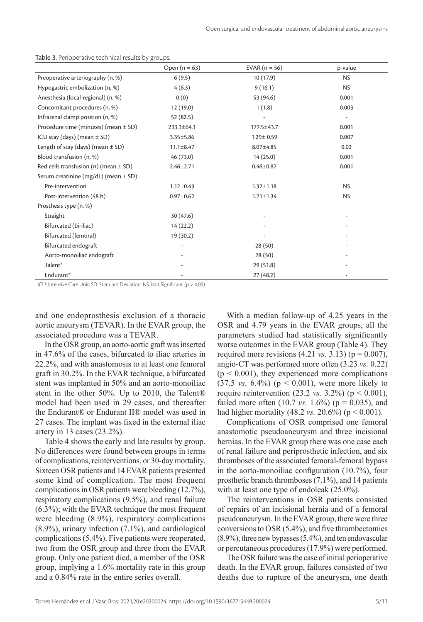|                                           | Open $(n = 63)$ | EVAR $(n = 56)$ | p-value   |
|-------------------------------------------|-----------------|-----------------|-----------|
| Preoperative arteriography (n, %)         | 6(9.5)          | 10(17.9)        | <b>NS</b> |
| Hypogastric embolization (n, %)           | 4(6.3)          | 9(16.1)         | <b>NS</b> |
| Anesthesia (local-regional) (n, %)        | 0(0)            | 53 (94.6)       | 0.001     |
| Concomitant procedures (n, %)             | 12(19.0)        | 1(1.8)          | 0.003     |
| Infrarenal clamp position (n, %)          | 52(82.5)        |                 |           |
| Procedure time (minutes) (mean $\pm$ SD)  | 233.3±64.1      | 177.5±43.7      | 0.001     |
| ICU stay (days) (mean $\pm$ SD)           | $3.35 \pm 5.86$ | $1.29 \pm 0.59$ | 0.007     |
| Length of stay (days) (mean $\pm$ SD)     | $11.1 \pm 8.47$ | $8.07 \pm 4.85$ | 0.02      |
| Blood transfusion (n, %)                  | 46(73.0)        | 14(25.0)        | 0.001     |
| Red cells transfusion (n) (mean $\pm$ SD) | $2.46 \pm 2.71$ | $0.46 \pm 0.87$ | 0.001     |
| Serum creatinine (mg/dL) (mean ± SD)      |                 |                 |           |
| Pre-intervention                          | $1.12 \pm 0.43$ | $1.32 \pm 1.18$ | <b>NS</b> |
| Post-intervention (48 h)                  | $0.97 \pm 0.62$ | $1.21 \pm 1.34$ | <b>NS</b> |
| Prosthesis type (n, %)                    |                 |                 |           |
| Straight                                  | 30(47.6)        |                 |           |
| Bifurcated (bi-iliac)                     | 14(22.2)        |                 |           |
| Bifurcated (femoral)                      | 19 (30.2)       |                 |           |
| Bifurcated endograft                      |                 | 28(50)          |           |
| Aorto-monoiliac endograft                 |                 | 28(50)          |           |
| Talent <sup>®</sup>                       |                 | 29(51.8)        |           |
| Endurant®                                 |                 | 27(48.2)        |           |

#### Table 3. Perioperative technical results by groups.

ICU: Intensive Care Unit; SD: Standard Deviation; NS: Not Significant (p > 0.05).

and one endoprosthesis exclusion of a thoracic aortic aneurysm (TEVAR). In the EVAR group, the associated procedure was a TEVAR.

In the OSR group, an aorto-aortic graft was inserted in 47.6% of the cases, bifurcated to iliac arteries in 22.2%, and with anastomosis to at least one femoral graft in 30.2%. In the EVAR technique, a bifurcated stent was implanted in 50% and an aorto-monoiliac stent in the other 50%. Up to 2010, the Talent® model had been used in 29 cases, and thereafter the Endurant® or Endurant II® model was used in 27 cases. The implant was fixed in the external iliac artery in 13 cases (23.2%).

Table 4 shows the early and late results by group. No differences were found between groups in terms of complications, reinterventions, or 30-day mortality. Sixteen OSR patients and 14 EVAR patients presented some kind of complication. The most frequent complications in OSR patients were bleeding (12.7%), respiratory complications (9.5%), and renal failure (6.3%); with the EVAR technique the most frequent were bleeding (8.9%), respiratory complications (8.9%), urinary infection (7.1%), and cardiological complications (5.4%). Five patients were reoperated, two from the OSR group and three from the EVAR group. Only one patient died, a member of the OSR group, implying a 1.6% mortality rate in this group and a 0.84% rate in the entire series overall.

With a median follow-up of 4.25 years in the OSR and 4.79 years in the EVAR groups, all the parameters studied had statistically significantly worse outcomes in the EVAR group (Table 4). They required more revisions  $(4.21 \text{ vs. } 3.13)$  ( $p = 0.007$ ), angio-CT was performed more often (3.23 *vs.* 0.22)  $(p < 0.001)$ , they experienced more complications  $(37.5 \text{ vs. } 6.4\%)$  ( $p < 0.001$ ), were more likely to require reintervention (23.2 *vs.* 3.2%) ( $p < 0.001$ ), failed more often  $(10.7 \text{ vs. } 1.6\%)$  ( $p = 0.035$ ), and had higher mortality (48.2 *vs.* 20.6%) ( $p < 0.001$ ).

Complications of OSR comprised one femoral anastomotic pseudoaneurysm and three incisional hernias. In the EVAR group there was one case each of renal failure and periprosthetic infection, and six thromboses of the associated femoral-femoral bypass in the aorto-monoiliac configuration (10.7%), four prosthetic branch thromboses (7.1%), and 14 patients with at least one type of endoleak  $(25.0\%)$ .

The reinterventions in OSR patients consisted of repairs of an incisional hernia and of a femoral pseudoaneurysm. In the EVAR group, there were three conversions to OSR (5.4%), and five thrombectomies (8.9%), three new bypasses (5.4%), and ten endovascular or percutaneous procedures (17.9%) were performed.

The OSR failure was the case of initial perioperative death. In the EVAR group, failures consisted of two deaths due to rupture of the aneurysm, one death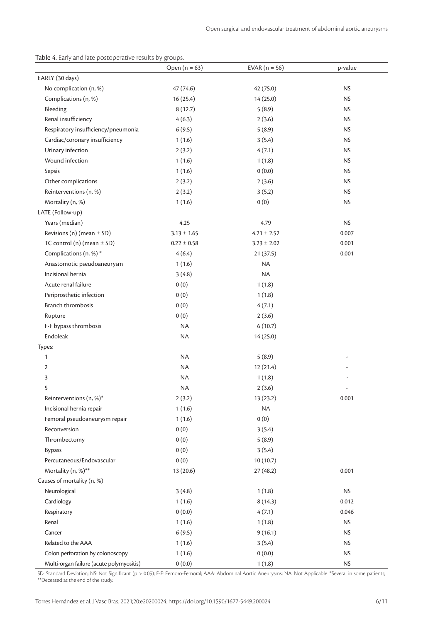Table 4. Early and late postoperative results by groups.

|                                          | Open $(n = 63)$ | EVAR $(n = 56)$ | p-value   |
|------------------------------------------|-----------------|-----------------|-----------|
| EARLY (30 days)                          |                 |                 |           |
| No complication (n, %)                   | 47 (74.6)       | 42 (75.0)       | <b>NS</b> |
| Complications (n, %)                     | 16(25.4)        | 14 (25.0)       | <b>NS</b> |
| Bleeding                                 | 8(12.7)         | 5(8.9)          | <b>NS</b> |
| Renal insufficiency                      | 4(6.3)          | 2(3.6)          | <b>NS</b> |
| Respiratory insufficiency/pneumonia      | 6(9.5)          | 5(8.9)          | <b>NS</b> |
| Cardiac/coronary insufficiency           | 1(1.6)          | 3(5.4)          | <b>NS</b> |
| Urinary infection                        | 2(3.2)          | 4(7.1)          | <b>NS</b> |
| Wound infection                          | 1(1.6)          | 1(1.8)          | NS.       |
| Sepsis                                   | 1(1.6)          | 0(0.0)          | <b>NS</b> |
| Other complications                      | 2(3.2)          | 2(3.6)          | <b>NS</b> |
| Reinterventions (n, %)                   | 2(3.2)          | 3(5.2)          | <b>NS</b> |
| Mortality (n, %)                         | 1(1.6)          | 0(0)            | <b>NS</b> |
| LATE (Follow-up)                         |                 |                 |           |
| Years (median)                           | 4.25            | 4.79            | <b>NS</b> |
| Revisions (n) (mean $\pm$ SD)            | $3.13 \pm 1.65$ | $4.21 \pm 2.52$ | 0.007     |
| TC control (n) (mean $\pm$ SD)           | $0.22 \pm 0.58$ | $3.23 \pm 2.02$ | 0.001     |
| Complications (n, %)*                    | 4(6.4)          | 21(37.5)        | 0.001     |
| Anastomotic pseudoaneurysm               | 1(1.6)          | <b>NA</b>       |           |
| Incisional hernia                        | 3(4.8)          | <b>NA</b>       |           |
| Acute renal failure                      | 0(0)            | 1(1.8)          |           |
| Periprosthetic infection                 | 0(0)            | 1(1.8)          |           |
| <b>Branch thrombosis</b>                 | 0(0)            | 4(7.1)          |           |
| Rupture                                  | 0(0)            | 2(3.6)          |           |
| F-F bypass thrombosis                    | <b>NA</b>       | 6(10.7)         |           |
| Endoleak                                 | <b>NA</b>       | 14 (25.0)       |           |
| Types:                                   |                 |                 |           |
| 1                                        | NA              | 5(8.9)          |           |
| $\overline{2}$                           | NA              | 12(21.4)        |           |
| 3                                        | <b>NA</b>       | 1(1.8)          |           |
| 5                                        | <b>NA</b>       | 2(3.6)          |           |
| Reinterventions (n, %)*                  | 2(3.2)          | 13 (23.2)       | 0.001     |
| Incisional hernia repair                 | 1(1.6)          | <b>NA</b>       |           |
| Femoral pseudoaneurysm repair            | 1(1.6)          | 0(0)            |           |
| Reconversion                             | 0(0)            | 3(5.4)          |           |
| Thrombectomy                             | 0(0)            | 5(8.9)          |           |
| <b>Bypass</b>                            | 0(0)            | 3(5.4)          |           |
| Percutaneous/Endovascular                | 0(0)            | 10(10.7)        |           |
| Mortality (n, %)**                       | 13 (20.6)       | 27(48.2)        | 0.001     |
| Causes of mortality (n, %)               |                 |                 |           |
| Neurological                             | 3(4.8)          | 1(1.8)          | <b>NS</b> |
| Cardiology                               | 1(1.6)          | 8(14.3)         | 0.012     |
| Respiratory                              | 0(0.0)          | 4(7.1)          | 0.046     |
| Renal                                    | 1(1.6)          | 1(1.8)          | <b>NS</b> |
| Cancer                                   | 6(9.5)          | 9(16.1)         | <b>NS</b> |
| Related to the AAA                       | 1(1.6)          | 3(5.4)          | <b>NS</b> |
| Colon perforation by colonoscopy         | 1(1.6)          | 0(0.0)          | <b>NS</b> |
| Multi-organ failure (acute polymyositis) | 0(0.0)          | 1(1.8)          | <b>NS</b> |

SD: Standard Deviation; NS: Not Significant (p > 0.05); F-F: Femoro-Femoral; AAA: Abdominal Aortic Aneurysms; NA: Not Applicable. \*Several in some patients; \*\*Deceased at the end of the study.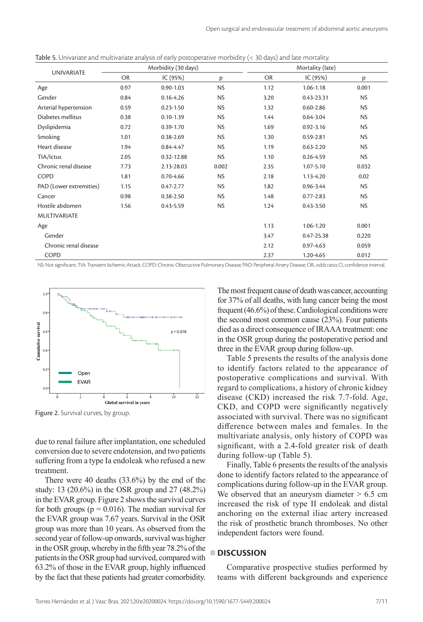| <b>UNIVARIATE</b>       | Morbidity (30 days) |               |           | Mortality (late) |                |           |
|-------------------------|---------------------|---------------|-----------|------------------|----------------|-----------|
|                         | <b>OR</b>           | IC (95%)      | p         | <b>OR</b>        | IC (95%)       | p         |
| Age                     | 0.97                | $0.90 - 1.03$ | <b>NS</b> | 1.12             | $1.06 - 1.18$  | 0.001     |
| Gender                  | 0.84                | $0.16 - 4.26$ | NS.       | 3.20             | 0.43-23.31     | <b>NS</b> |
| Arterial hypertension   | 0.59                | $0.23 - 1.50$ | <b>NS</b> | 1.32             | $0.60 - 2.86$  | <b>NS</b> |
| Diabetes mellitus       | 0.38                | $0.10 - 1.39$ | <b>NS</b> | 1.44             | $0.64 - 3.04$  | <b>NS</b> |
| Dyslipidemia            | 0.72                | $0.39 - 1.70$ | <b>NS</b> | 1.69             | $0.92 - 3.16$  | <b>NS</b> |
| Smoking                 | 1.01                | $0.38 - 2.69$ | <b>NS</b> | 1.30             | 0.59-2.81      | <b>NS</b> |
| Heart disease           | 1.94                | 0.84-4.47     | <b>NS</b> | 1.19             | $0.63 - 2.20$  | <b>NS</b> |
| TIA/Ictus               | 2.05                | 0.32-12.88    | NS        | 1.10             | $0.26 - 4.59$  | <b>NS</b> |
| Chronic renal disease   | 7.73                | 2.13-28.03    | 0.002     | 2.35             | $1.07 - 5.10$  | 0.032     |
| <b>COPD</b>             | 1.81                | $0.70 - 4.66$ | NS.       | 2.18             | 1.13-4.20      | 0.02      |
| PAD (Lower extremities) | 1.15                | $0.47 - 2.77$ | <b>NS</b> | 1.82             | 0.96-3.44      | <b>NS</b> |
| Cancer                  | 0.98                | $0.38 - 2.50$ | <b>NS</b> | 1.48             | $0.77 - 2.83$  | <b>NS</b> |
| Hostile abdomen         | 1.56                | $0.43 - 5.59$ | <b>NS</b> | 1.24             | $0.43 - 3.50$  | <b>NS</b> |
| <b>MULTIVARIATE</b>     |                     |               |           |                  |                |           |
| Age                     |                     |               |           | 1.13             | $1.06 - 1.20$  | 0.001     |
| Gender                  |                     |               |           | 3.47             | $0.47 - 25.38$ | 0.220     |
| Chronic renal disease   |                     |               |           | 2.12             | $0.97 - 4.63$  | 0.059     |
| <b>COPD</b>             |                     |               |           | 2.37             | 1.20-4.65      | 0.012     |

Table 5. Univariate and multivariate analysis of early postoperative morbidity (< 30 days) and late mortality.

NS: Not significant; TIA: Transient Ischemic Attack; COPD: Chronic Obstructive Pulmonary Disease; PAD: Peripheral Artery Disease; OR, odds ratio; CI, confidence interval.



Figure 2. Survival curves, by group.

due to renal failure after implantation, one scheduled conversion due to severe endotension, and two patients suffering from a type Ia endoleak who refused a new treatment.

There were 40 deaths (33.6%) by the end of the study: 13 (20.6%) in the OSR group and 27 (48.2%) in the EVAR group. Figure 2 shows the survival curves for both groups ( $p = 0.016$ ). The median survival for the EVAR group was 7.67 years. Survival in the OSR group was more than 10 years. As observed from the second year of follow-up onwards, survival was higher in the OSR group, whereby in the fifth year 78.2% of the patients in the OSR group had survived, compared with 63.2% of those in the EVAR group, highly influenced by the fact that these patients had greater comorbidity. The most frequent cause of death was cancer, accounting for 37% of all deaths, with lung cancer being the most frequent (46.6%) of these. Cardiological conditions were the second most common cause (23%). Four patients died as a direct consequence of IRAAA treatment: one in the OSR group during the postoperative period and three in the EVAR group during follow-up.

Table 5 presents the results of the analysis done to identify factors related to the appearance of postoperative complications and survival. With regard to complications, a history of chronic kidney disease (CKD) increased the risk 7.7-fold. Age, CKD, and COPD were significantly negatively associated with survival. There was no significant difference between males and females. In the multivariate analysis, only history of COPD was significant, with a 2.4-fold greater risk of death during follow-up (Table 5).

Finally, Table 6 presents the results of the analysis done to identify factors related to the appearance of complications during follow-up in the EVAR group. We observed that an aneurysm diameter  $> 6.5$  cm increased the risk of type II endoleak and distal anchoring on the external iliac artery increased the risk of prosthetic branch thromboses. No other independent factors were found.

# **DISCUSSION**

Comparative prospective studies performed by teams with different backgrounds and experience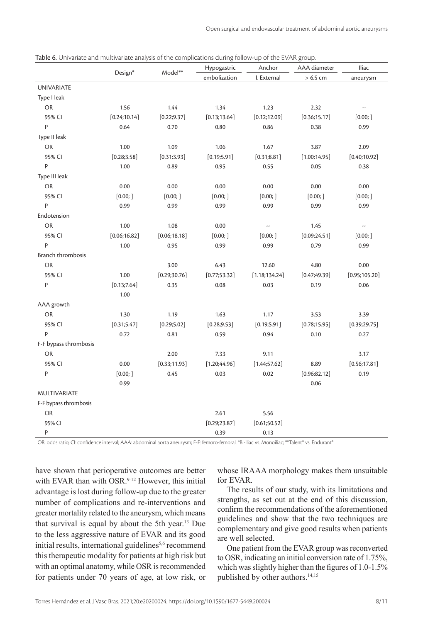|                       | Design*       |               | Hypogastric   | Anchor         | AAA diameter  | Iliac          |
|-----------------------|---------------|---------------|---------------|----------------|---------------|----------------|
|                       |               | Model**       | embolization  | I. External    | $> 6.5$ cm    | aneurysm       |
| <b>UNIVARIATE</b>     |               |               |               |                |               |                |
| Type I leak           |               |               |               |                |               |                |
| <b>OR</b>             | 1.56          | 1.44          | 1.34          | 1.23           | 2.32          | --             |
| 95% CI                | [0.24; 10.14] | [0.22; 9.37]  | [0.13; 13.64] | [0.12; 12.09]  | [0.36; 15.17] | [0.00; ]       |
| P                     | 0.64          | 0.70          | 0.80          | 0.86           | 0.38          | 0.99           |
| Type II leak          |               |               |               |                |               |                |
| <b>OR</b>             | 1.00          | 1.09          | 1.06          | 1.67           | 3.87          | 2.09           |
| 95% CI                | [0.28; 3.58]  | [0.31; 3.93]  | [0.19; 5.91]  | [0.31; 8.81]   | [1.00; 14.95] | [0.40; 10.92]  |
| P                     | 1.00          | 0.89          | 0.95          | 0.55           | 0.05          | 0.38           |
| Type III leak         |               |               |               |                |               |                |
| OR                    | 0.00          | 0.00          | 0.00          | 0.00           | 0.00          | 0.00           |
| 95% CI                | [0.00; ]      | [0.00; ]      | [0.00; ]      | [0.00; ]       | [0.00; ]      | [0.00; ]       |
| P                     | 0.99          | 0.99          | 0.99          | 0.99           | 0.99          | 0.99           |
| Endotension           |               |               |               |                |               |                |
| <b>OR</b>             | 1.00          | 1.08          | 0.00          | --             | 1.45          | --             |
| 95% CI                | [0.06; 16.82] | [0.06; 18.18] | [0.00; ]      | [0.00; ]       | [0.09; 24.51] | [0.00; ]       |
| P                     | 1.00          | 0.95          | 0.99          | 0.99           | 0.79          | 0.99           |
| Branch thrombosis     |               |               |               |                |               |                |
| OR                    |               | 3.00          | 6.43          | 12.60          | 4.80          | 0.00           |
| 95% CI                | 1.00          | [0.29; 30.76] | [0.77;53.32]  | [1.18; 134.24] | [0.47; 49.39] | [0.95; 105.20] |
| P                     | [0.13;7.64]   | 0.35          | 0.08          | 0.03           | 0.19          | 0.06           |
|                       | 1.00          |               |               |                |               |                |
| AAA growth            |               |               |               |                |               |                |
| OR                    | 1.30          | 1.19          | 1.63          | 1.17           | 3.53          | 3.39           |
| 95% CI                | [0.31; 5.47]  | [0.29; 5.02]  | [0.28; 9.53]  | [0.19; 5.91]   | [0.78; 15.95] | [0.39; 29.75]  |
| P                     | 0.72          | 0.81          | 0.59          | 0.94           | 0.10          | 0.27           |
| F-F bypass thrombosis |               |               |               |                |               |                |
| OR                    |               | 2.00          | 7.33          | 9.11           |               | 3.17           |
| 95% CI                | 0.00          | [0.33;11.93]  | [1.20; 44.96] | [1.44; 57.62]  | 8.89          | [0.56; 17.81]  |
| P                     | [0.00; ]      | 0.45          | 0.03          | 0.02           | [0.96; 82.12] | 0.19           |
|                       | 0.99          |               |               |                | 0.06          |                |
| MULTIVARIATE          |               |               |               |                |               |                |
| F-F bypass thrombosis |               |               |               |                |               |                |
| OR                    |               |               | 2.61          | 5.56           |               |                |
| 95% CI                |               |               | [0.29; 23.87] | [0.61;50.52]   |               |                |
| P                     |               |               | 0.39          | 0.13           |               |                |

OR: odds ratio; CI: confidence interval; AAA: abdominal aorta aneurysm; F-F: femoro-femoral. \*Bi-iliac vs. Monoiliac; \*\*Talent® vs. Endurant®

have shown that perioperative outcomes are better with EVAR than with OSR.<sup>9-12</sup> However, this initial advantage is lost during follow-up due to the greater number of complications and re-interventions and greater mortality related to the aneurysm, which means that survival is equal by about the 5th year.13 Due to the less aggressive nature of EVAR and its good initial results, international guidelines<sup>5,6</sup> recommend this therapeutic modality for patients at high risk but with an optimal anatomy, while OSR is recommended for patients under 70 years of age, at low risk, or

whose IRAAA morphology makes them unsuitable for EVAR.

The results of our study, with its limitations and strengths, as set out at the end of this discussion, confirm the recommendations of the aforementioned guidelines and show that the two techniques are complementary and give good results when patients are well selected.

One patient from the EVAR group was reconverted to OSR, indicating an initial conversion rate of 1.75%, which was slightly higher than the figures of 1.0-1.5% published by other authors.<sup>14,15</sup>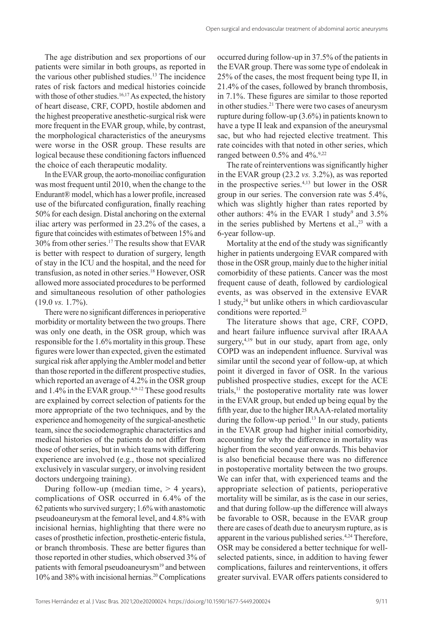The age distribution and sex proportions of our patients were similar in both groups, as reported in the various other published studies.13 The incidence rates of risk factors and medical histories coincide with those of other studies.<sup>16,17</sup> As expected, the history of heart disease, CRF, COPD, hostile abdomen and the highest preoperative anesthetic-surgical risk were more frequent in the EVAR group, while, by contrast, the morphological characteristics of the aneurysms were worse in the OSR group. These results are logical because these conditioning factors influenced the choice of each therapeutic modality.

In the EVAR group, the aorto-monoiliac configuration was most frequent until 2010, when the change to the Endurant® model, which has a lower profile, increased use of the bifurcated configuration, finally reaching 50% for each design. Distal anchoring on the external iliac artery was performed in 23.2% of the cases, a figure that coincides with estimates of between 15% and 30% from other series.17 The results show that EVAR is better with respect to duration of surgery, length of stay in the ICU and the hospital, and the need for transfusion, as noted in other series.18 However, OSR allowed more associated procedures to be performed and simultaneous resolution of other pathologies (19.0 *vs.* 1.7%).

There were no significant differences in perioperative morbidity or mortality between the two groups. There was only one death, in the OSR group, which was responsible for the 1.6% mortality in this group. These figures were lower than expected, given the estimated surgical risk after applying the Ambler model and better than those reported in the different prospective studies, which reported an average of 4.2% in the OSR group and 1.4% in the EVAR group.<sup>4,9-12</sup> These good results are explained by correct selection of patients for the more appropriate of the two techniques, and by the experience and homogeneity of the surgical-anesthetic team, since the sociodemographic characteristics and medical histories of the patients do not differ from those of other series, but in which teams with differing experience are involved (e.g., those not specialized exclusively in vascular surgery, or involving resident doctors undergoing training).

During follow-up (median time,  $> 4$  years), complications of OSR occurred in 6.4% of the 62 patients who survived surgery; 1.6% with anastomotic pseudoaneurysm at the femoral level, and 4.8% with incisional hernias, highlighting that there were no cases of prosthetic infection, prosthetic-enteric fistula, or branch thrombosis. These are better figures than those reported in other studies, which observed 3% of patients with femoral pseudoaneurysm<sup>19</sup> and between 10% and 38% with incisional hernias.<sup>20</sup> Complications occurred during follow-up in 37.5% of the patients in the EVAR group. There was some type of endoleak in 25% of the cases, the most frequent being type II, in 21.4% of the cases, followed by branch thrombosis, in 7.1%. These figures are similar to those reported in other studies.21 There were two cases of aneurysm rupture during follow-up (3.6%) in patients known to have a type II leak and expansion of the aneurysmal sac, but who had rejected elective treatment. This rate coincides with that noted in other series, which ranged between  $0.5\%$  and  $4\%$ .<sup>9,22</sup>

The rate of reinterventions was significantly higher in the EVAR group (23.2 *vs.* 3.2%), as was reported in the prospective series.4,13 but lower in the OSR group in our series. The conversion rate was 5.4%, which was slightly higher than rates reported by other authors:  $4\%$  in the EVAR 1 study<sup>9</sup> and  $3.5\%$ in the series published by Mertens et al., $^{23}$  with a 6-year follow-up.

Mortality at the end of the study was significantly higher in patients undergoing EVAR compared with those in the OSR group, mainly due to the higher initial comorbidity of these patients. Cancer was the most frequent cause of death, followed by cardiological events, as was observed in the extensive EVAR 1 study,24 but unlike others in which cardiovascular conditions were reported.25

The literature shows that age, CRF, COPD, and heart failure influence survival after IRAAA surgery, $4,19$  but in our study, apart from age, only COPD was an independent influence. Survival was similar until the second year of follow-up, at which point it diverged in favor of OSR. In the various published prospective studies, except for the ACE trials,11 the postoperative mortality rate was lower in the EVAR group, but ended up being equal by the fifth year, due to the higher IRAAA-related mortality during the follow-up period.<sup>13</sup> In our study, patients in the EVAR group had higher initial comorbidity, accounting for why the difference in mortality was higher from the second year onwards. This behavior is also beneficial because there was no difference in postoperative mortality between the two groups. We can infer that, with experienced teams and the appropriate selection of patients, perioperative mortality will be similar, as is the case in our series, and that during follow-up the difference will always be favorable to OSR, because in the EVAR group there are cases of death due to aneurysm rupture, as is apparent in the various published series.<sup>4,24</sup> Therefore, OSR may be considered a better technique for wellselected patients, since, in addition to having fewer complications, failures and reinterventions, it offers greater survival. EVAR offers patients considered to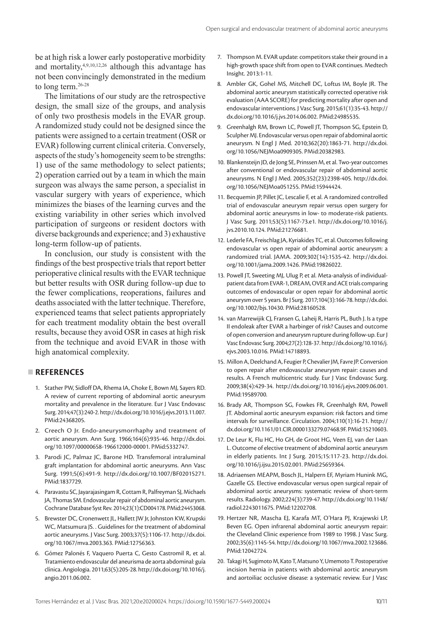be at high risk a lower early postoperative morbidity and mortality,4,9,10,12,26 although this advantage has not been convincingly demonstrated in the medium to long term.26-28

The limitations of our study are the retrospective design, the small size of the groups, and analysis of only two prosthesis models in the EVAR group. A randomized study could not be designed since the patients were assigned to a certain treatment (OSR or EVAR) following current clinical criteria. Conversely, aspects of the study's homogeneity seem to be strengths: 1) use of the same methodology to select patients; 2) operation carried out by a team in which the main surgeon was always the same person, a specialist in vascular surgery with years of experience, which minimizes the biases of the learning curves and the existing variability in other series which involved participation of surgeons or resident doctors with diverse backgrounds and experience; and 3) exhaustive long-term follow-up of patients.

In conclusion, our study is consistent with the findings of the best prospective trials that report better perioperative clinical results with the EVAR technique but better results with OSR during follow-up due to the fewer complications, reoperations, failures and deaths associated with the latter technique. Therefore, experienced teams that select patients appropriately for each treatment modality obtain the best overall results, because they avoid OSR in cases at high risk from the technique and avoid EVAR in those with high anatomical complexity.

# **REFERENCES**

- 1. Stather PW, Sidloff DA, Rhema IA, Choke E, Bown MJ, Sayers RD. A review of current reporting of abdominal aortic aneurysm mortality and prevalence in the literature. Eur J Vasc Endovasc Surg. 2014;47(3):240-2. [http://dx.doi.org/10.1016/j.ejvs.2013.11.007.](https://doi.org/10.1016/j.ejvs.2013.11.007) [PMid:24368205.](https://www.ncbi.nlm.nih.gov/entrez/query.fcgi?cmd=Retrieve&db=PubMed&list_uids=24368205&dopt=Abstract)
- 2. Creech O Jr. Endo-aneurysmorrhaphy and treatment of aortic aneurysm. Ann Surg. 1966;164(6):935-46. [http://dx.doi.](https://doi.org/10.1097/00000658-196612000-00001) [org/10.1097/00000658-196612000-00001.](https://doi.org/10.1097/00000658-196612000-00001) [PMid:5332747.](https://www.ncbi.nlm.nih.gov/entrez/query.fcgi?cmd=Retrieve&db=PubMed&list_uids=5332747&dopt=Abstract)
- 3. Parodi JC, Palmaz JC, Barone HD. Transfemoral intraluminal graft implantation for abdominal aortic aneurysms. Ann Vasc Surg. 1991;5(6):491-9. [http://dx.doi.org/10.1007/BF02015271.](https://doi.org/10.1007/BF02015271) [PMid:1837729.](https://www.ncbi.nlm.nih.gov/entrez/query.fcgi?cmd=Retrieve&db=PubMed&list_uids=1837729&dopt=Abstract)
- 4. Paravastu SC, Jayarajasingam R, Cottam R, Palfreyman SJ, Michaels JA, Thomas SM. Endovascular repair of abdominal aortic aneurysm. Cochrane Database Syst Rev. 2014;23(1):CD004178. [PMid:24453068.](https://www.ncbi.nlm.nih.gov/entrez/query.fcgi?cmd=Retrieve&db=PubMed&list_uids=24453068&dopt=Abstract)
- 5. Brewster DC, Cronenwett JL, Hallett JW Jr, Johnston KW, Krupski WC, Matsumura JS. . Guidelines for the treatment of abdominal aortic aneurysms. J Vasc Surg. 2003;37(5):1106-17. [http://dx.doi.](https://doi.org/10.1067/mva.2003.363) [org/10.1067/mva.2003.363](https://doi.org/10.1067/mva.2003.363). [PMid:12756363.](https://www.ncbi.nlm.nih.gov/entrez/query.fcgi?cmd=Retrieve&db=PubMed&list_uids=12756363&dopt=Abstract)
- 6. Gómez Palonés F, Vaquero Puerta C, Gesto Castromil R, et al. Tratamiento endovascular del aneurisma de aorta abdominal: guía clínica. Angiologia. 2011;63(5):205-28. [http://dx.doi.org/10.1016/j.](https://doi.org/10.1016/j.angio.2011.06.002) [angio.2011.06.002](https://doi.org/10.1016/j.angio.2011.06.002).
- 7. Thompson M. EVAR update: competitors stake their ground in a high-growth space shift from open to EVAR continues. Medtech Insight. 2013:1-11.
- 8. Ambler GK, Gohel MS, Mitchell DC, Loftus IM, Boyle JR. The abdominal aortic aneurysm statistically corrected operative risk evaluation (AAA SCORE) for predicting mortality after open and endovascular interventions. J Vasc Surg. 2015;61(1):35-43. [http://](https://doi.org/10.1016/j.jvs.2014.06.002) [dx.doi.org/10.1016/j.jvs.2014.06.002](https://doi.org/10.1016/j.jvs.2014.06.002)[. PMid:24985535.](https://www.ncbi.nlm.nih.gov/entrez/query.fcgi?cmd=Retrieve&db=PubMed&list_uids=24985535&dopt=Abstract)
- 9. Greenhalgh RM, Brown LC, Powell JT, Thompson SG, Epstein D, Sculpher MJ. Endovascular versus open repair of abdominal aortic aneurysm. N Engl J Med. 2010;362(20):1863-71. [http://dx.doi.](https://doi.org/10.1056/NEJMoa0909305) [org/10.1056/NEJMoa0909305](https://doi.org/10.1056/NEJMoa0909305)[. PMid:20382983.](https://www.ncbi.nlm.nih.gov/entrez/query.fcgi?cmd=Retrieve&db=PubMed&list_uids=20382983&dopt=Abstract)
- 10. Blankensteijn JD, de Jong SE, Prinssen M, et al. Two-year outcomes after conventional or endovascular repair of abdominal aortic aneurysms. N Engl J Med. 2005;352(23):2398-405. [http://dx.doi.](https://doi.org/10.1056/NEJMoa051255) [org/10.1056/NEJMoa051255](https://doi.org/10.1056/NEJMoa051255). [PMid:15944424.](https://www.ncbi.nlm.nih.gov/entrez/query.fcgi?cmd=Retrieve&db=PubMed&list_uids=15944424&dopt=Abstract)
- 11. Becquemin JP, Pillet JC, Lescalie F, et al. A randomized controlled trial of endovascular aneurysm repair versus open surgery for abdominal aortic aneurysms in low- to moderate-risk patients. J Vasc Surg. 2011;53(5):1167-73.e1. [http://dx.doi.org/10.1016/j.](https://doi.org/10.1016/j.jvs.2010.10.124) [jvs.2010.10.124](https://doi.org/10.1016/j.jvs.2010.10.124)[. PMid:21276681.](https://www.ncbi.nlm.nih.gov/entrez/query.fcgi?cmd=Retrieve&db=PubMed&list_uids=21276681&dopt=Abstract)
- 12. Lederle FA, Freischlag JA, Kyriakides TC, et al. Outcomes following endovascular vs open repair of abdominal aortic aneurysm: a randomized trial. JAMA. 2009;302(14):1535-42. [http://dx.doi.](https://doi.org/10.1001/jama.2009.1426) [org/10.1001/jama.2009.1426](https://doi.org/10.1001/jama.2009.1426). [PMid:19826022.](https://www.ncbi.nlm.nih.gov/entrez/query.fcgi?cmd=Retrieve&db=PubMed&list_uids=19826022&dopt=Abstract)
- 13. Powell JT, Sweeting MJ, Ulug P, et al. Meta-analysis of individualpatient data from EVAR-1, DREAM, OVER and ACE trials comparing outcomes of endovascular or open repair for abdominal aortic aneurysm over 5 years. Br J Surg. 2017;104(3):166-78. [http://dx.doi.](https://doi.org/10.1002/bjs.10430) [org/10.1002/bjs.10430](https://doi.org/10.1002/bjs.10430). [PMid:28160528.](https://www.ncbi.nlm.nih.gov/entrez/query.fcgi?cmd=Retrieve&db=PubMed&list_uids=28160528&dopt=Abstract)
- 14. van Marrewijik CJ, Fransen G, Laheij R, Harris PL, Buth J. Is a type II endoleak after EVAR a harbinger of risk? Causes and outcome of open conversion and aneurysm rupture during follow-up. Eur J Vasc Endovasc Surg. 2004;27(2):128-37. [http://dx.doi.org/10.1016/j.](https://doi.org/10.1016/j.ejvs.2003.10.016) [ejvs.2003.10.016](https://doi.org/10.1016/j.ejvs.2003.10.016). [PMid:14718893.](https://www.ncbi.nlm.nih.gov/entrez/query.fcgi?cmd=Retrieve&db=PubMed&list_uids=14718893&dopt=Abstract)
- 15. Millon A, Deelchand A, Feugier P, Chevalier JM, Favre JP. Conversion to open repair after endovascular aneurysm repair: causes and results. A French multicentric study. Eur J Vasc Endovasc Surg. 2009;38(4):429-34. [http://dx.doi.org/10.1016/j.ejvs.2009.06.001](https://doi.org/10.1016/j.ejvs.2009.06.001). [PMid:19589700.](https://www.ncbi.nlm.nih.gov/entrez/query.fcgi?cmd=Retrieve&db=PubMed&list_uids=19589700&dopt=Abstract)
- 16. Brady AR, Thompson SG, Fowkes FR, Greenhalgh RM, Powell JT. Abdominal aortic aneurysm expansion: risk factors and time intervals for surveillance. Circulation. 2004;110(1):16-21. [http://](https://doi.org/10.1161/01.CIR.0000133279.07468.9F) [dx.doi.org/10.1161/01.CIR.0000133279.07468.9F](https://doi.org/10.1161/01.CIR.0000133279.07468.9F)[. PMid:15210603.](https://www.ncbi.nlm.nih.gov/entrez/query.fcgi?cmd=Retrieve&db=PubMed&list_uids=15210603&dopt=Abstract)
- 17. De Leur K, Flu HC, Ho GH, de Groot HG, Veen EJ, van der Laan L. Outcome of elective treatment of abdominal aortic aneurysm in elderly patients. Int J Surg. 2015;15:117-23. [http://dx.doi.](https://doi.org/10.1016/j.ijsu.2015.02.001) [org/10.1016/j.ijsu.2015.02.001](https://doi.org/10.1016/j.ijsu.2015.02.001)[. PMid:25659364.](https://www.ncbi.nlm.nih.gov/entrez/query.fcgi?cmd=Retrieve&db=PubMed&list_uids=25659364&dopt=Abstract)
- 18. Adriaensen MEAPM, Bosch JL, Halpern EF, Myriam Hunink MG, Gazelle GS. Elective endovascular versus open surgical repair of abdominal aortic aneurysms: systematic review of short-term results. Radiology. 2002;224(3):739-47. [http://dx.doi.org/10.1148/](https://doi.org/10.1148/radiol.2243011675) [radiol.2243011675.](https://doi.org/10.1148/radiol.2243011675) [PMid:12202708.](https://www.ncbi.nlm.nih.gov/entrez/query.fcgi?cmd=Retrieve&db=PubMed&list_uids=12202708&dopt=Abstract)
- 19. Hertzer NR, Mascha EJ, Karafa MT, O'Hara PJ, Krajewski LP, Beven EG. Open infrarenal abdominal aortic aneurysm repair: the Cleveland Clinic experience from 1989 to 1998. J Vasc Surg. 2002;35(6):1145-54. [http://dx.doi.org/10.1067/mva.2002.123686](https://doi.org/10.1067/mva.2002.123686). [PMid:12042724.](https://www.ncbi.nlm.nih.gov/entrez/query.fcgi?cmd=Retrieve&db=PubMed&list_uids=12042724&dopt=Abstract)
- 20. Takagi H, Sugimoto M, Kato T, Matsuno Y, Umemoto T. Postoperative incision hernia in patients with abdominal aortic aneurysm and aortoiliac occlusive disease: a systematic review. Eur J Vasc